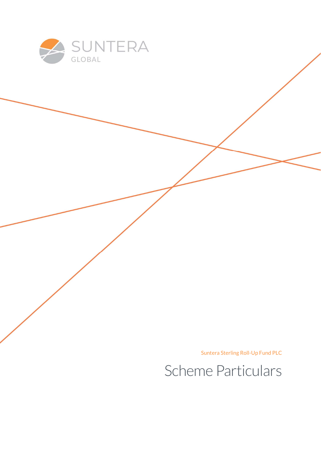

Suntera Sterling Roll-Up Fund PLC

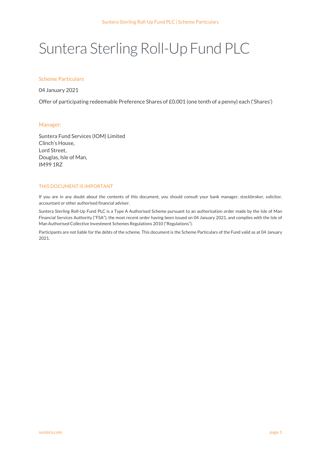# Suntera Sterling Roll-Up Fund PLC

### Scheme Particulars

04 January 2021

Offer of participating redeemable Preference Shares of £0.001 (one tenth of a penny) each ('Shares')

#### Manager:

Suntera Fund Services (IOM) Limited Clinch's House, Lord Street, Douglas, Isle of Man, IM99 1RZ

#### THIS DOCUMENT IS IMPORTANT

If you are in any doubt about the contents of this document, you should consult your bank manager, stockbroker, solicitor, accountant or other authorised financial adviser.

Suntera Sterling Roll-Up Fund PLC is a Type A Authorised Scheme pursuant to an authorisation order made by the Isle of Man Financial Services Authority ("FSA"), the most recent order having been issued on 04 January 2021, and complies with the Isle of Man Authorised Collective Investment Schemes Regulations 2010 ("Regulations").

Participants are not liable for the debts of the scheme. This document is the Scheme Particulars of the Fund valid as at 04 January 2021.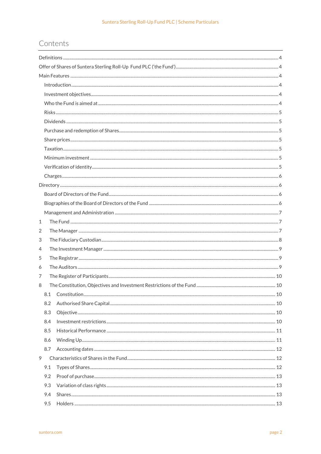## Contents

| $\mathbf{1}$ |  |
|--------------|--|
| 2            |  |
| 3            |  |
| 4            |  |
| 5            |  |
| 6            |  |
| 7            |  |
| 8            |  |
|              |  |
| 8.2          |  |
| 8.3          |  |
| 8.4          |  |
| 8.5          |  |
| 8.6          |  |
| 8.7          |  |
| 9            |  |
| 9.1          |  |
| 9.2          |  |
| 9.3          |  |
| 9.4          |  |
| 9.5          |  |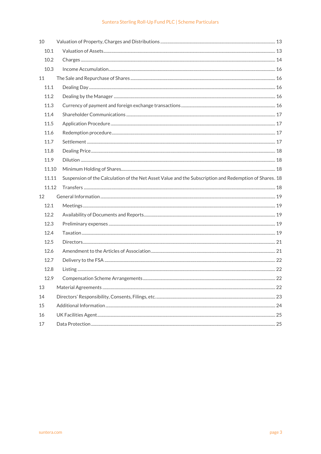## Suntera Sterling Roll-Up Fund PLC | Scheme Particulars

| 10    |                                                                                                        |  |
|-------|--------------------------------------------------------------------------------------------------------|--|
| 10.1  |                                                                                                        |  |
| 10.2  |                                                                                                        |  |
| 10.3  |                                                                                                        |  |
| 11    |                                                                                                        |  |
| 11.1  |                                                                                                        |  |
| 11.2  |                                                                                                        |  |
| 11.3  |                                                                                                        |  |
| 11.4  |                                                                                                        |  |
| 11.5  |                                                                                                        |  |
| 11.6  |                                                                                                        |  |
| 11.7  |                                                                                                        |  |
| 11.8  |                                                                                                        |  |
| 11.9  |                                                                                                        |  |
| 11.10 |                                                                                                        |  |
| 11.11 | Suspension of the Calculation of the Net Asset Value and the Subscription and Redemption of Shares. 18 |  |
| 11.12 |                                                                                                        |  |
| 12    |                                                                                                        |  |
| 12.1  |                                                                                                        |  |
|       |                                                                                                        |  |
| 12.2  |                                                                                                        |  |
| 12.3  |                                                                                                        |  |
| 12.4  |                                                                                                        |  |
| 12.5  |                                                                                                        |  |
| 12.6  |                                                                                                        |  |
| 12.7  |                                                                                                        |  |
| 12.8  |                                                                                                        |  |
| 12.9  |                                                                                                        |  |
| 13    |                                                                                                        |  |
| 14    |                                                                                                        |  |
| 15    |                                                                                                        |  |
| 16    |                                                                                                        |  |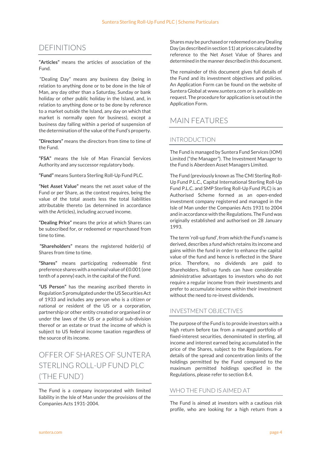## DEFINITIONS

#### "Articles" means the articles of association of the Fund.

 "Dealing Day" means any business day (being in relation to anything done or to be done in the Isle of Man, any day other than a Saturday, Sunday or bank holiday or other public holiday in the Island, and, in relation to anything done or to be done by reference to a market outside the Island, any day on which that market is normally open for business), except a business day falling within a period of suspension of the determination of the value of the Fund's property.

"Directors" means the directors from time to time of the Fund.

"FSA" means the Isle of Man Financial Services Authority and any successor regulatory body.

"Fund" means Suntera Sterling Roll-Up Fund PLC.

"Net Asset Value" means the net asset value of the Fund or per Share, as the context requires, being the value of the total assets less the total liabilities attributable thereto (as determined in accordance with the Articles), including accrued income.

"Dealing Price" means the price at which Shares can be subscribed for, or redeemed or repurchased from time to time.

 "Shareholders" means the registered holder(s) of Shares from time to time.

"Shares" means participating redeemable first preference shares with a nominal value of £0.001 (one tenth of a penny) each, in the capital of the Fund.

"US Person" has the meaning ascribed thereto in Regulation S promulgated under the US Securities Act of 1933 and includes any person who is a citizen or national or resident of the US or a corporation, partnership or other entity created or organised in or under the laws of the US or a political sub-division thereof or an estate or trust the income of which is subject to US federal income taxation regardless of the source of its income.

## OFFER OF SHARES OF SUNTERA STERLING ROLL-UP FUND PLC ('THE FUND')

The Fund is a company incorporated with limited liability in the Isle of Man under the provisions of the Companies Acts 1931-2004.

Shares may be purchased or redeemed on any Dealing Day (as described in section 11) at prices calculated by reference to the Net Asset Value of Shares and determined in the manner described in this document.

The remainder of this document gives full details of the Fund and its investment objectives and policies. An Application Form can be found on the website of Suntera Global at www.suntera.com or is available on request. The procedure for application is set out in the Application Form.

## MAIN FEATURES

## INTRODUCTION

The Fund is managed by Suntera Fund Services (IOM) Limited ("the Manager"). The Investment Manager to the Fund is Aberdeen Asset Managers Limited.

The Fund (previously known as The CMI Sterling Roll-Up Fund P.L.C., Capital International Sterling Roll-Up Fund P.L.C. and SMP Sterling Roll-Up Fund PLC) is an Authorised Scheme formed as an open-ended investment company registered and managed in the Isle of Man under the Companies Acts 1931 to 2004 and in accordance with the Regulations. The Fund was originally established and authorised on 28 January 1993.

The term 'roll-up fund', from which the Fund's name is derived, describes a fund which retains its income and gains within the fund in order to enhance the capital value of the fund and hence is reflected in the Share price. Therefore, no dividends are paid to Shareholders. Roll-up funds can have considerable administrative advantages to investors who do not require a regular income from their investments and prefer to accumulate income within their investment without the need to re-invest dividends.

## INVESTMENT OBJECTIVES

The purpose of the Fund is to provide investors with a high return before tax from a managed portfolio of fixed-interest securities, denominated in sterling, all income and interest earned being accumulated in the price of the Shares, subject to the Regulations. For details of the spread and concentration limits of the holdings permitted by the Fund compared to the maximum permitted holdings specified in the Regulations, please refer to section 8.4.

## WHO THE FUND IS AIMED AT

The Fund is aimed at investors with a cautious risk profile, who are looking for a high return from a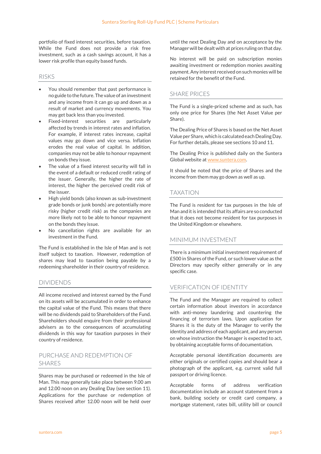portfolio of fixed interest securities, before taxation. While the Fund does not provide a risk free investment, such as a cash savings account, it has a lower risk profile than equity based funds.

### RISKS

- You should remember that past performance is no guide to the future. The value of an investment and any income from it can go up and down as a result of market and currency movements. You may get back less than you invested.
- Fixed-interest securities are particularly affected by trends in interest rates and inflation. For example, if interest rates increase, capital values may go down and vice versa. Inflation erodes the real value of capital. In addition, companies may not be able to honour repayment on bonds they issue.
- The value of a fixed interest security will fall in the event of a default or reduced credit rating of the issuer. Generally, the higher the rate of interest, the higher the perceived credit risk of the issuer.
- High yield bonds (also known as sub-investment grade bonds or junk bonds) are potentially more risky (higher credit risk) as the companies are more likely not to be able to honour repayment on the bonds they issue.
- No cancellation rights are available for an investment in the Fund.

The Fund is established in the Isle of Man and is not itself subject to taxation. However, redemption of shares may lead to taxation being payable by a redeeming shareholder in their country of residence.

## DIVIDENDS

All income received and interest earned by the Fund on its assets will be accumulated in order to enhance the capital value of the Fund. This means that there will be no dividends paid to Shareholders of the Fund. Shareholders should enquire from their professional advisers as to the consequences of accumulating dividends in this way for taxation purposes in their country of residence.

## PURCHASE AND REDEMPTION OF SHARES

Shares may be purchased or redeemed in the Isle of Man. This may generally take place between 9.00 am and 12.00 noon on any Dealing Day (see section 11). Applications for the purchase or redemption of Shares received after 12.00 noon will be held over

until the next Dealing Day and on acceptance by the Manager will be dealt with at prices ruling on that day.

No interest will be paid on subscription monies awaiting investment or redemption monies awaiting payment. Any interest received on such monies will be retained for the benefit of the Fund.

## SHARE PRICES

The Fund is a single-priced scheme and as such, has only one price for Shares (the Net Asset Value per Share).

The Dealing Price of Shares is based on the Net Asset Value per Share, which is calculated each Dealing Day. For further details, please see sections 10 and 11.

The Dealing Price is published daily on the Suntera Global website at www.suntera.com.

It should be noted that the price of Shares and the income from them may go down as well as up.

## TAXATION

The Fund is resident for tax purposes in the Isle of Man and it is intended that its affairs are so conducted that it does not become resident for tax purposes in the United Kingdom or elsewhere.

## MINIMUM INVESTMENT

There is a minimum initial investment requirement of £500 in Shares of the Fund, or such lower value as the Directors may specify either generally or in any specific case.

## VERIFICATION OF IDENTITY

The Fund and the Manager are required to collect certain information about investors in accordance with anti-money laundering and countering the financing of terrorism laws. Upon application for Shares it is the duty of the Manager to verify the identity and address of each applicant, and any person on whose instruction the Manager is expected to act, by obtaining acceptable forms of documentation.

Acceptable personal identification documents are either originals or certified copies and should bear a photograph of the applicant, e.g. current valid full passport or driving licence.

Acceptable forms of address verification documentation include an account statement from a bank, building society or credit card company, a mortgage statement, rates bill, utility bill or council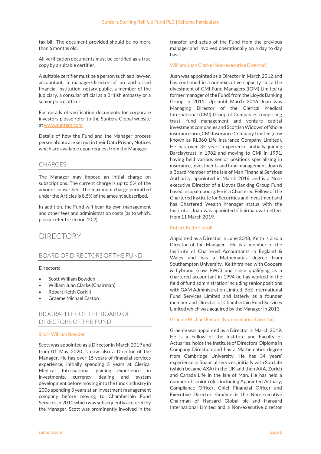tax bill. The document provided should be no more than 6 months old.

All verification documents must be certified as a true copy by a suitable certifier.

A suitable certifier must be a person such as a lawyer, accountant, a manager/director of an authorised financial institution, notary public, a member of the judiciary, a consular official at a British embassy or a senior police officer.

For details of verification documents for corporate investors please refer to the Suntera Global website at www.suntera.com.

Details of how the Fund and the Manager process personal data are set out in their Data Privacy Notices which are available upon request from the Manager.

### CHARGES

The Manager may impose an initial charge on subscriptions. The current charge is up to 5% of the amount subscribed. The maximum charge permitted under the Articles is 8.5% of the amount subscribed.

In addition, the Fund will bear its own management and other fees and administration costs (as to which, please refer to section 10.2).

## DIRECTORY

### BOARD OF DIRECTORS OF THE FUND

#### Directors:

- Scott William Bowden
- William Juan Clarke (Chairman)
- Robert Keith Corkill
- Graeme Michael Easton

## BIOGRAPHIES OF THE BOARD OF DIRECTORS OF THE FUND

#### Scott William Bowden

Scott was appointed as a Director in March 2019 and from 01 May 2020 is now also a Director of the Manager. He has over 15 years of financial services experience, initially spending 5 years at Clerical Medical International gaining experience in investments, currency dealing and system development before moving into the funds industry in 2006 spending 3 years at an investment management company before moving to Chamberlain Fund Services in 2010 which was subsequently acquired by the Manager. Scott was prominently involved in the

transfer and setup of the Fund from the previous manager and involved operationally on a day to day basis.

#### William Juan Clarke (Non-executive Director)

Juan was appointed as a Director in March 2012 and has continued in a non-executive capacity since the divestment of CMI Fund Managers (IOM) Limited (a former manager of the Fund) from the Lloyds Banking Group in 2015. Up until March 2016 Juan was Managing Director of the Clerical Medical International (CMI) Group of Companies comprising trust, fund management and venture capital investment companies and Scottish Widows' offshore insurance arm, CMI Insurance Company Limited (now known as RL360 Life Insurance Company Limited). He has over 35 years' experience, initially joining Barclaytrust in 1982 and moving to CMI in 1991, having held various senior positions specialising in insurance, investments and fund management. Juan is a Board Member of the Isle of Man Financial Services Authority, appointed in March 2016, and is a Nonexecutive Director of a Lloyds Banking Group Fund based in Luxembourg. He is a Chartered Fellow of the Chartered Institute for Securities and Investment and has Chartered Wealth Manager status with the Institute. Juan was appointed Chairman with effect from 11 March 2019.

#### Robert Keith Corkill

Appointed as a Director in June 2018, Keith is also a Director of the Manager. He is a member of the Institute of Chartered Accountants in England & Wales and has a Mathematics degree from Southampton University. Keith trained with Coopers & Lybrand (now PWC) and since qualifying as a chartered accountant in 1994 he has worked in the field of fund administration including senior positions with GAM Administration Limited, BoE International Fund Services Limited and latterly as a founder member and Director of Chamberlain Fund Services Limited which was acquired by the Manager in 2013.

#### Graeme Michael Easton (Non-executive Director)

Graeme was appointed as a Director in March 2019. He is a Fellow of the Institute and Faculty of Actuaries, holds the Institute of Directors' Diploma in Company Direction and has a Mathematics degree from Cambridge University. He has 34 years' experience in financial services, initially with Sun Life (which became AXA) in the UK and then AXA, Zurich and Canada Life in the Isle of Man. He has held a number of senior roles including Appointed Actuary, Compliance Officer, Chief Financial Officer and Executive Director. Graeme is the Non-executive Chairman of Hansard Global plc and Hansard International Limited and a Non-executive director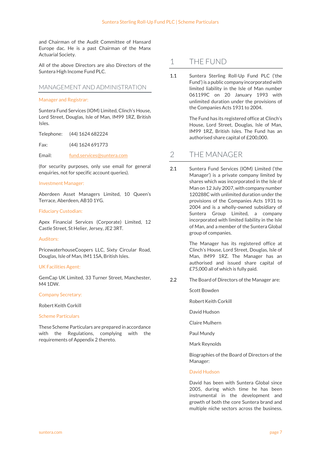and Chairman of the Audit Committee of Hansard Europe dac. He is a past Chairman of the Manx Actuarial Society.

All of the above Directors are also Directors of the Suntera High Income Fund PLC.

## MANAGEMENT AND ADMINISTRATION

#### Manager and Registrar:

Suntera Fund Services (IOM) Limited, Clinch's House, Lord Street, Douglas, Isle of Man, IM99 1RZ, British Isles.

Telephone: (44) 1624 682224

Fax: (44) 1624 691773

Email: fund.services@suntera.com

(for security purposes, only use email for general enquiries, not for specific account queries).

#### Investment Manager:

Aberdeen Asset Managers Limited, 10 Queen's Terrace, Aberdeen, AB10 1YG.

#### Fiduciary Custodian:

Apex Financial Services (Corporate) Limited, 12 Castle Street, St Helier, Jersey, JE2 3RT.

#### Auditors:

PricewaterhouseCoopers LLC, Sixty Circular Road, Douglas, Isle of Man, IM1 1SA, British Isles.

#### UK Facilities Agent:

GemCap UK Limited, 33 Turner Street, Manchester, M4 1DW.

#### Company Secretary:

Robert Keith Corkill

#### Scheme Particulars

These Scheme Particulars are prepared in accordance with the Regulations, complying with the requirements of Appendix 2 thereto.

## 1 THE FUND

1.1 Suntera Sterling Roll-Up Fund PLC ('the Fund') is a public company incorporated with limited liability in the Isle of Man number 061199C on 20 January 1993 with unlimited duration under the provisions of the Companies Acts 1931 to 2004.

> The Fund has its registered office at Clinch's House, Lord Street, Douglas, Isle of Man, IM99 1RZ, British Isles. The Fund has an authorised share capital of £200,000.

## 2 THE MANAGER

2.1 Suntera Fund Services (IOM) Limited ('the Manager') is a private company limited by shares which was incorporated in the Isle of Man on 12 July 2007, with company number 120288C with unlimited duration under the provisions of the Companies Acts 1931 to 2004 and is a wholly-owned subsidiary of Suntera Group Limited, a company incorporated with limited liability in the Isle of Man, and a member of the Suntera Global group of companies.

> The Manager has its registered office at Clinch's House, Lord Street, Douglas, Isle of Man, IM99 1RZ. The Manager has an authorised and issued share capital of £75,000 all of which is fully paid.

2.2 The Board of Directors of the Manager are:

Scott Bowden

Robert Keith Corkill

David Hudson

Claire Mulhern

Paul Mundy

Mark Reynolds

Biographies of the Board of Directors of the Manager:

#### David Hudson

David has been with Suntera Global since 2005, during which time he has been instrumental in the development and growth of both the core Suntera brand and multiple niche sectors across the business.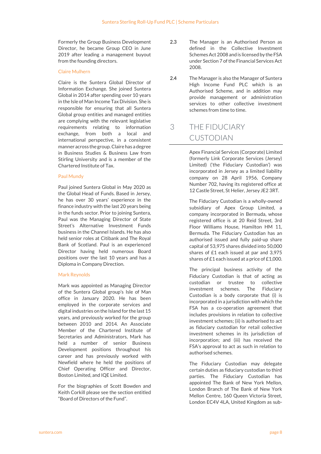Formerly the Group Business Development Director, he became Group CEO in June 2019 after leading a management buyout from the founding directors.

#### Claire Mulhern

Claire is the Suntera Global Director of Information Exchange. She joined Suntera Global in 2014 after spending over 10 years in the Isle of Man Income Tax Division. She is responsible for ensuring that all Suntera Global group entities and managed entities are complying with the relevant legislative requirements relating to information exchange, from both a local and international perspective, in a consistent manner across the group. Claire has a degree in Business Studies & Business Law from Stirling University and is a member of the Chartered Institute of Tax.

#### Paul Mundy

Paul joined Suntera Global in May 2020 as the Global Head of Funds. Based in Jersey, he has over 30 years' experience in the finance industry with the last 20 years being in the funds sector. Prior to joining Suntera, Paul was the Managing Director of State Street's Alternative Investment Funds business in the Channel Islands. He has also held senior roles at Citibank and The Royal Bank of Scotland. Paul is an experienced Director having held numerous Board positions over the last 10 years and has a Diploma in Company Direction.

#### Mark Reynolds

Mark was appointed as Managing Director of the Suntera Global group's Isle of Man office in January 2020. He has been employed in the corporate services and digital industries on the Island for the last 15 years, and previously worked for the group between 2010 and 2014. An Associate Member of the Chartered Institute of Secretaries and Administrators, Mark has held a number of senior Business Development positions throughout his career and has previously worked with Newfield where he held the positions of Chief Operating Officer and Director, Boston Limited, and IQE Limited.

For the biographies of Scott Bowden and Keith Corkill please see the section entitled "Board of Directors of the Fund".

- 2.3 The Manager is an Authorised Person as defined in the Collective Investment Schemes Act 2008 and is licensed by the FSA under Section 7 of the Financial Services Act 2008.
- 2.4 The Manager is also the Manager of Suntera High Income Fund PLC which is an Authorised Scheme, and in addition may provide management or administration services to other collective investment schemes from time to time.

## 3 THE FIDUCIARY CUSTODIAN

Apex Financial Services (Corporate) Limited (formerly Link Corporate Services (Jersey) Limited) ('the Fiduciary Custodian') was incorporated in Jersey as a limited liability company on 28 April 1956, Company Number 702, having its registered office at 12 Castle Street, St Helier, Jersey JE2 3RT.

The Fiduciary Custodian is a wholly-owned subsidiary of Apex Group Limited, a company incorporated in Bermuda, whose registered office is at 20 Reid Street, 3rd Floor Williams House, Hamilton HM 11, Bermuda. The Fiduciary Custodian has an authorised issued and fully paid-up share capital of 53,975 shares divided into 50,000 shares of £1 each issued at par and 3,975 shares of £1 each issued at a price of £1,000.

The principal business activity of the Fiduciary Custodian is that of acting as custodian or trustee to collective investment schemes. The Fiduciary Custodian is a body corporate that (i) is incorporated in a jurisdiction with which the FSA has a co-operation agreement that includes provisions in relation to collective investment schemes; (ii) is authorised to act as fiduciary custodian for retail collective investment schemes in its jurisdiction of incorporation; and (iii) has received the FSA's approval to act as such in relation to authorised schemes.

The Fiduciary Custodian may delegate certain duties as fiduciary custodian to third parties. The Fiduciary Custodian has appointed The Bank of New York Mellon, London Branch of The Bank of New York Mellon Centre, 160 Queen Victoria Street, London EC4V 4LA, United Kingdom as sub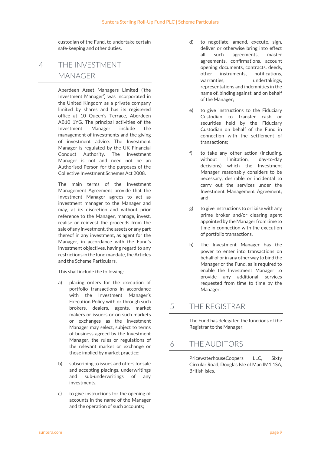custodian of the Fund, to undertake certain safe-keeping and other duties.

## 4 THE INVESTMENT MANAGER

Aberdeen Asset Managers Limited ('the Investment Manager') was incorporated in the United Kingdom as a private company limited by shares and has its registered office at 10 Queen's Terrace, Aberdeen AB10 1YG. The principal activities of the Investment Manager include the management of investments and the giving of investment advice. The Investment Manager is regulated by the UK Financial Conduct Authority. The Investment Manager is not and need not be an Authorised Person for the purposes of the Collective Investment Schemes Act 2008.

The main terms of the Investment Management Agreement provide that the Investment Manager agrees to act as investment manager to the Manager and may, at its discretion and without prior reference to the Manager, manage, invest, realise or reinvest the proceeds from the sale of any investment, the assets or any part thereof in any investment, as agent for the Manager, in accordance with the Fund's investment objectives, having regard to any restrictions in the fund mandate, the Articles and the Scheme Particulars.

This shall include the following:

- a) placing orders for the execution of portfolio transactions in accordance with the Investment Manager's Execution Policy with or through such brokers, dealers, agents, market makers or issuers or on such markets or exchanges as the Investment Manager may select, subject to terms of business agreed by the Investment Manager, the rules or regulations of the relevant market or exchange or those implied by market practice;
- b) subscribing to issues and offers for sale and accepting placings, underwritings and sub-underwritings of any investments.
- c) to give instructions for the opening of accounts in the name of the Manager and the operation of such accounts;
- d) to negotiate, amend, execute, sign, deliver or otherwise bring into effect all such agreements, master agreements, confirmations, account opening documents, contracts, deeds, other instruments, notifications, warranties, undertakings, representations and indemnities in the name of, binding against, and on behalf of the Manager;
- e) to give instructions to the Fiduciary Custodian to transfer cash or securities held by the Fiduciary Custodian on behalf of the Fund in connection with the settlement of transactions;
- f) to take any other action (including, without limitation, day-to-day decisions) which the Investment Manager reasonably considers to be necessary, desirable or incidental to carry out the services under the Investment Management Agreement; and
- g) to give instructions to or liaise with any prime broker and/or clearing agent appointed by the Manager from time to time in connection with the execution of portfolio transactions.
- h) The Investment Manager has the power to enter into transactions on behalf of or in any other way to bind the Manager or the Fund, as is required to enable the Investment Manager to provide any additional services requested from time to time by the Manager.

## 5 THE REGISTRAR

The Fund has delegated the functions of the Registrar to the Manager.

## 6 THE AUDITORS

PricewaterhouseCoopers LLC, Sixty Circular Road, Douglas Isle of Man IM1 1SA, British Isles.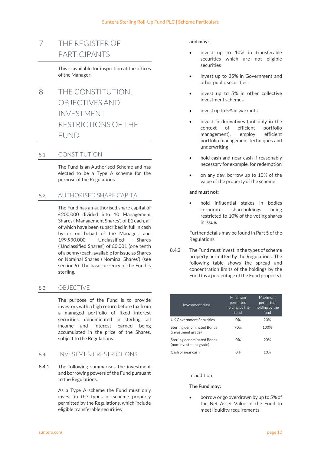## 7 THE REGISTER OF PARTICIPANTS

This is available for inspection at the offices of the Manager.

8 THE CONSTITUTION, OBJECTIVES AND INVESTMENT RESTRICTIONS OF THE FUND

### 8.1 CONSTITUTION

The Fund is an Authorised Scheme and has elected to be a Type A scheme for the purpose of the Regulations.

## 8.2 AUTHORISED SHARE CAPITAL

The Fund has an authorised share capital of £200,000 divided into 10 Management Shares ('Management Shares') of £1 each, all of which have been subscribed in full in cash by or on behalf of the Manager, and 199,990,000 Unclassified Shares ('Unclassified Shares') of £0.001 (one tenth of a penny) each, available for issue as Shares or Nominal Shares ('Nominal Shares') (see section 9). The base currency of the Fund is sterling.

### 8.3 OBJECTIVE

The purpose of the Fund is to provide investors with a high return before tax from a managed portfolio of fixed interest securities, denominated in sterling, all income and interest earned being accumulated in the price of the Shares, subject to the Regulations.

### 8.4 INVESTMENT RESTRICTIONS

8.4.1 The following summarises the investment and borrowing powers of the Fund pursuant to the Regulations.

> As a Type A scheme the Fund must only invest in the types of scheme property permitted by the Regulations, which include eligible transferable securities

#### and may:

- invest up to 10% in transferable securities which are not eligible securities
- invest up to 35% in Government and other public securities
- invest up to 5% in other collective investment schemes
- invest up to 5% in warrants
- invest in derivatives (but only in the context of efficient portfolio management), employ efficient portfolio management techniques and underwriting
- hold cash and near cash if reasonably necessary for example, for redemption
- on any day, borrow up to 10% of the value of the property of the scheme

#### and must not:

 hold influential stakes in bodies corporate, shareholdings being restricted to 10% of the voting shares in issue.

Further details may be found in Part 5 of the Regulations.

8.4.2 The Fund must invest in the types of scheme property permitted by the Regulations. The following table shows the spread and concentration limits of the holdings by the Fund (as a percentage of the Fund property).

| Investment class                                     | Minimum<br>permitted<br>holding by the<br>fund | Maximum<br>permitted<br>holding by the<br>fund |
|------------------------------------------------------|------------------------------------------------|------------------------------------------------|
| <b>UK Government Securities</b>                      | 0%                                             | 20%                                            |
| Sterling denominated Bonds<br>(investment grade)     | 70%                                            | 100%                                           |
| Sterling denominated Bonds<br>(non-investment grade) | 0%                                             | 20%                                            |
| Cash or near cash                                    | 0%                                             | 10%                                            |

#### In addition

#### The Fund may:

 borrow or go overdrawn by up to 5% of the Net Asset Value of the Fund to meet liquidity requirements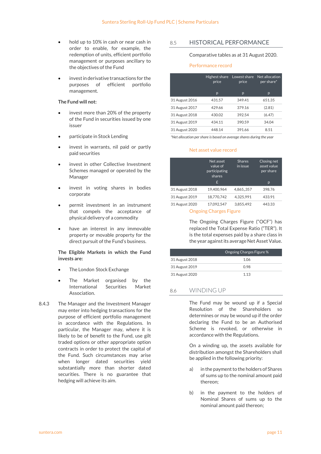- hold up to 10% in cash or near cash in order to enable, for example, the redemption of units, efficient portfolio management or purposes ancillary to the objectives of the Fund
- invest in derivative transactions for the purposes of efficient portfolio management.

#### The Fund will not:

- invest more than 20% of the property of the Fund in securities issued by one issuer
- participate in Stock Lending
- invest in warrants, nil paid or partly paid securities
- invest in other Collective Investment Schemes managed or operated by the Manager
- invest in voting shares in bodies corporate
- permit investment in an instrument that compels the acceptance of physical delivery of a commodity
- have an interest in any immovable property or movable property for the direct pursuit of the Fund's business.

#### The Eligible Markets in which the Fund invests are:

- The London Stock Exchange
- The Market organised by the International Securities Market Association.
- 8.4.3 The Manager and the Investment Manager may enter into hedging transactions for the purpose of efficient portfolio management in accordance with the Regulations. In particular, the Manager may, where it is likely to be of benefit to the Fund, use gilt traded options or other appropriate option contracts in order to protect the capital of the Fund. Such circumstances may arise when longer dated securities yield substantially more than shorter dated securities. There is no guarantee that hedging will achieve its aim.

8.5 HISTORICAL PERFORMANCE

#### Comparative tables as at 31 August 2020.

#### Performance record

|                | Highest share<br>price | Lowest share<br>price | Net allocation<br>per share* |
|----------------|------------------------|-----------------------|------------------------------|
|                | p                      | p                     | p                            |
| 31 August 2016 | 431.57                 | 349.41                | 651.35                       |
| 31 August 2017 | 429.66                 | 379.16                | (2.81)                       |
| 31 August 2018 | 430.02                 | 392.54                | (6.47)                       |
| 31 August 2019 | 434.11                 | 390.59                | 34.04                        |
| 31 August 2020 | 448.14                 | 391.66                | 8.51                         |

\*Net allocation per share is based on average shares during the year

#### Net asset value record

|                | Net asset<br>value of<br>participating<br>shares<br>£ | <b>Shares</b><br>in issue | Closing net<br>asset value<br>per share<br>p |
|----------------|-------------------------------------------------------|---------------------------|----------------------------------------------|
| 31 August 2018 | 19.400.964                                            | 4,865,,357                | 398.76                                       |
| 31 August 2019 | 18.770.742                                            | 4.325.991                 | 433.91                                       |
| 31 August 2020 | 17.092.547                                            | 3.855.492                 | 443.33                                       |

Ongoing Charges Figure

The Ongoing Charges Figure ("OCF") has replaced the Total Expense Ratio ("TER"). It is the total expenses paid by a share class in the year against its average Net Asset Value.

|                | Ongoing Charges Figure % |
|----------------|--------------------------|
| 31 August 2018 | 1.06                     |
| 31 August 2019 | 0.98                     |
| 31 August 2020 | 1.13                     |

## 8.6 WINDING UP

The Fund may be wound up if a Special Resolution of the Shareholders so determines or may be wound up if the order declaring the Fund to be an Authorised Scheme is revoked, or otherwise in accordance with the Regulations.

On a winding up, the assets available for distribution amongst the Shareholders shall be applied in the following priority:

- a) in the payment to the holders of Shares of sums up to the nominal amount paid thereon;
- b) in the payment to the holders of Nominal Shares of sums up to the nominal amount paid thereon;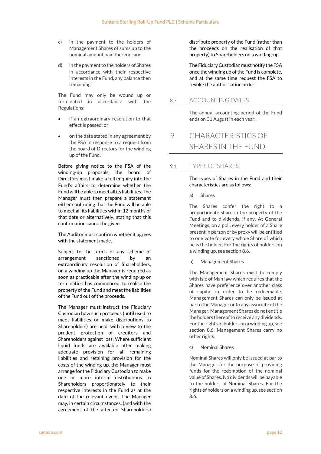- c) in the payment to the holders of Management Shares of sums up to the nominal amount paid thereon; and
- d) in the payment to the holders of Shares in accordance with their respective interests in the Fund, any balance then remaining.

The Fund may only be wound up or terminated in accordance with the Regulations:

- if an extraordinary resolution to that effect is passed; or
- on the date stated in any agreement by the FSA in response to a request from the board of Directors for the winding up of the Fund.

Before giving notice to the FSA of the winding-up proposals, the board of Directors must make a full enquiry into the Fund's affairs to determine whether the Fund will be able to meet all its liabilities. The Manager must then prepare a statement either confirming that the Fund will be able to meet all its liabilities within 12 months of that date or alternatively, stating that this confirmation cannot be given.

The Auditor must confirm whether it agrees with the statement made.

Subject to the terms of any scheme of arrangement sanctioned by an extraordinary resolution of Shareholders, on a winding up the Manager is required as soon as practicable after the winding-up or termination has commenced, to realise the property of the Fund and meet the liabilities of the Fund out of the proceeds.

The Manager must instruct the Fiduciary Custodian how such proceeds (until used to meet liabilities or make distributions to Shareholders) are held, with a view to the prudent protection of creditors and Shareholders against loss. Where sufficient liquid funds are available after making adequate provision for all remaining liabilities and retaining provision for the costs of the winding up, the Manager must arrange for the Fiduciary Custodian to make one or more interim distributions to Shareholders proportionately to their respective interests in the Fund as at the date of the relevant event. The Manager may, in certain circumstances, (and with the agreement of the affected Shareholders)

distribute property of the Fund (rather than the proceeds on the realisation of that property) to Shareholders on a winding-up.

The Fiduciary Custodian must notify the FSA once the winding up of the Fund is complete, and at the same time request the FSA to revoke the authorisation order.

## 8.7 ACCOUNTING DATES

The annual accounting period of the Fund ends on 31 August in each year.

## 9 CHARACTERISTICS OF SHARES IN THE FUND

## 9.1 TYPES OF SHARES

The types of Shares in the Fund and their characteristics are as follows:

a) Shares

The Shares confer the right to a proportionate share in the property of the Fund and to dividends, if any. At General Meetings, on a poll, every holder of a Share present in person or by proxy will be entitled to one vote for every whole Share of which he is the holder. For the rights of holders on a winding up, see section 8.6.

b) Management Shares

The Management Shares exist to comply with Isle of Man law which requires that the Shares have preference over another class of capital in order to be redeemable. Management Shares can only be issued at par to the Manager or to any associate of the Manager. Management Shares do not entitle the holders thereof to receive any dividends. For the rights of holders on a winding up, see section 8.6. Management Shares carry no other rights.

c) Nominal Shares

Nominal Shares will only be issued at par to the Manager for the purpose of providing funds for the redemption of the nominal value of Shares. No dividends will be payable to the holders of Nominal Shares. For the rights of holders on a winding up, see section 8.6.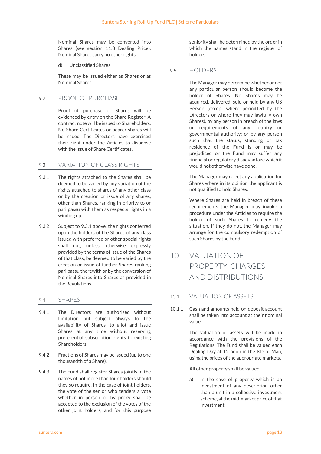Nominal Shares may be converted into Shares (see section 11.8 Dealing Price). Nominal Shares carry no other rights.

d) Unclassified Shares

These may be issued either as Shares or as Nominal Shares.

## 92 PROOF OF PURCHASE

Proof of purchase of Shares will be evidenced by entry on the Share Register. A contract note will be issued to Shareholders. No Share Certificates or bearer shares will be issued. The Directors have exercised their right under the Articles to dispense with the issue of Share Certificates.

## 9.3 VARIATION OF CLASS RIGHTS

- 9.3.1 The rights attached to the Shares shall be deemed to be varied by any variation of the rights attached to shares of any other class or by the creation or issue of any shares, other than Shares, ranking in priority to or pari passu with them as respects rights in a winding up.
- 9.3.2 Subject to 9.3.1 above, the rights conferred upon the holders of the Shares of any class issued with preferred or other special rights shall not, unless otherwise expressly provided by the terms of issue of the Shares of that class, be deemed to be varied by the creation or issue of further Shares ranking pari passu therewith or by the conversion of Nominal Shares into Shares as provided in the Regulations.

## 9.4 SHARES

- 9.4.1 The Directors are authorised without limitation but subject always to the availability of Shares, to allot and issue Shares at any time without reserving preferential subscription rights to existing Shareholders.
- 9.4.2 Fractions of Shares may be issued (up to one thousandth of a Share).
- 9.4.3 The Fund shall register Shares jointly in the names of not more than four holders should they so require. In the case of joint holders, the vote of the senior who tenders a vote whether in person or by proxy shall be accepted to the exclusion of the votes of the other joint holders, and for this purpose

seniority shall be determined by the order in which the names stand in the register of holders.

### 9.5 HOLDERS

The Manager may determine whether or not any particular person should become the holder of Shares. No Shares may be acquired, delivered, sold or held by any US Person (except where permitted by the Directors or where they may lawfully own Shares), by any person in breach of the laws or requirements of any country or governmental authority; or by any person such that the status, standing or tax residence of the Fund is or may be prejudiced or the Fund may suffer any financial or regulatory disadvantage which it would not otherwise have done.

The Manager may reject any application for Shares where in its opinion the applicant is not qualified to hold Shares.

Where Shares are held in breach of these requirements the Manager may invoke a procedure under the Articles to require the holder of such Shares to remedy the situation. If they do not, the Manager may arrange for the compulsory redemption of such Shares by the Fund.

## 10 VALUATION OF PROPERTY, CHARGES AND DISTRIBUTIONS

## 10.1 VALUATION OF ASSETS

10.1.1 Cash and amounts held on deposit account shall be taken into account at their nominal value.

> The valuation of assets will be made in accordance with the provisions of the Regulations. The Fund shall be valued each Dealing Day at 12 noon in the Isle of Man, using the prices of the appropriate markets.

All other property shall be valued:

a) in the case of property which is an investment of any description other than a unit in a collective investment scheme, at the mid-market price of that investment;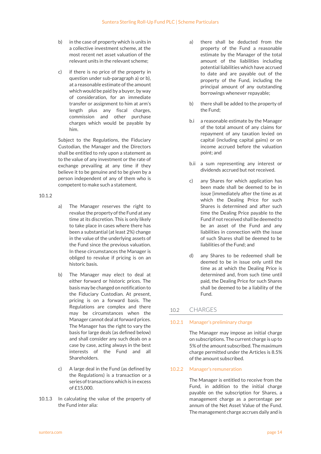- b) in the case of property which is units in a collective investment scheme, at the most recent net asset valuation of the relevant units in the relevant scheme;
- c) if there is no price of the property in question under sub-paragraph a) or b), at a reasonable estimate of the amount which would be paid by a buyer, by way of consideration, for an immediate transfer or assignment to him at arm's length plus any fiscal charges, commission and other purchase charges which would be payable by him.

Subject to the Regulations, the Fiduciary Custodian, the Manager and the Directors shall be entitled to rely upon a statement as to the value of any investment or the rate of exchange prevailing at any time if they believe it to be genuine and to be given by a person independent of any of them who is competent to make such a statement.

#### 10.1.2

- a) The Manager reserves the right to revalue the property of the Fund at any time at its discretion. This is only likely to take place in cases where there has been a substantial (at least 2%) change in the value of the underlying assets of the Fund since the previous valuation. In these circumstances the Manager is obliged to revalue if pricing is on an historic basis.
- b) The Manager may elect to deal at either forward or historic prices. The basis may be changed on notification to the Fiduciary Custodian. At present, pricing is on a forward basis. The Regulations are complex and there may be circumstances when the Manager cannot deal at forward prices. The Manager has the right to vary the basis for large deals (as defined below) and shall consider any such deals on a case by case, acting always in the best interests of the Fund and all **Shareholders**
- c) A large deal in the Fund (as defined by the Regulations) is a transaction or a series of transactions which is in excess of £15,000.
- 10.1.3 In calculating the value of the property of the Fund inter alia:
- a) there shall be deducted from the property of the Fund a reasonable estimate by the Manager of the total amount of the liabilities including potential liabilities which have accrued to date and are payable out of the property of the Fund, including the principal amount of any outstanding borrowings whenever repayable;
- b) there shall be added to the property of the Fund;
- b.i a reasonable estimate by the Manager of the total amount of any claims for repayment of any taxation levied on capital (including capital gains) or on income accrued before the valuation point; and
- b.ii a sum representing any interest or dividends accrued but not received.
- c) any Shares for which application has been made shall be deemed to be in issue [immediately after the time as at which the Dealing Price for such Shares is determined and after such time the Dealing Price payable to the Fund if not received shall be deemed to be an asset of the Fund and any liabilities in connection with the issue of such Shares shall be deemed to be liabilities of the Fund; and
- d) any Shares to be redeemed shall be deemed to be in issue only until the time as at which the Dealing Price is determined and, from such time until paid, the Dealing Price for such Shares shall be deemed to be a liability of the Fund.

## 10.2 CHARGES

#### 10.2.1 Manager's preliminary charge

The Manager may impose an initial charge on subscriptions. The current charge is up to 5% of the amount subscribed. The maximum charge permitted under the Articles is 8.5% of the amount subscribed.

#### 10.2.2 Manager's remuneration

The Manager is entitled to receive from the Fund, in addition to the initial charge payable on the subscription for Shares, a management charge as a percentage per annum of the Net Asset Value of the Fund. The management charge accrues daily and is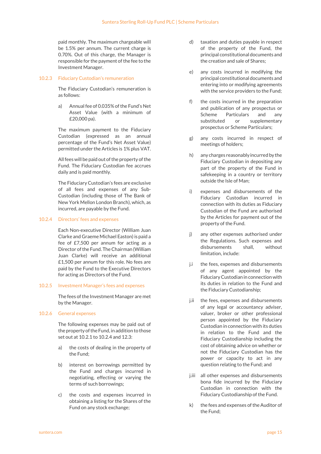paid monthly. The maximum chargeable will be 1.5% per annum. The current charge is 0.70%. Out of this charge, the Manager is responsible for the payment of the fee to the Investment Manager.

#### 10.2.3 Fiduciary Custodian's remuneration

The Fiduciary Custodian's remuneration is as follows:

a) Annual fee of 0.035% of the Fund's Net Asset Value (with a minimum of £20,000 pa).

The maximum payment to the Fiduciary Custodian (expressed as an annual percentage of the Fund's Net Asset Value) permitted under the Articles is 1% plus VAT.

All fees will be paid out of the property of the Fund. The Fiduciary Custodian fee accrues daily and is paid monthly.

The Fiduciary Custodian's fees are exclusive of all fees and expenses of any Sub-Custodian (including those of The Bank of New York Mellon London Branch), which, as incurred, are payable by the Fund.

#### 10.2.4 Directors' fees and expenses

Each Non-executive Director (William Juan Clarke and Graeme Michael Easton) is paid a fee of £7,500 per annum for acting as a Director of the Fund. The Chairman (William Juan Clarke) will receive an additional £1,500 per annum for this role. No fees are paid by the Fund to the Executive Directors for acting as Directors of the Fund.

#### 10.2.5 Investment Manager's fees and expenses

The fees of the Investment Manager are met by the Manager.

### 10.2.6 General expenses

The following expenses may be paid out of the property of the Fund, in addition to those set out at 10.2.1 to 10.2.4 and 12.3:

- a) the costs of dealing in the property of the Fund;
- b) interest on borrowings permitted by the Fund and charges incurred in negotiating, effecting or varying the terms of such borrowings;
- c) the costs and expenses incurred in obtaining a listing for the Shares of the Fund on any stock exchange;
- d) taxation and duties payable in respect of the property of the Fund, the principal constitutional documents and the creation and sale of Shares;
- e) any costs incurred in modifying the principal constitutional documents and entering into or modifying agreements with the service providers to the Fund;
- f) the costs incurred in the preparation and publication of any prospectus or Scheme Particulars and any substituted or supplementary prospectus or Scheme Particulars;
- g) any costs incurred in respect of meetings of holders;
- h) any charges reasonably incurred by the Fiduciary Custodian in depositing any part of the property of the Fund in safekeeping in a country or territory outside the Isle of Man;
- i) expenses and disbursements of the Fiduciary Custodian incurred in connection with its duties as Fiduciary Custodian of the Fund are authorised by the Articles for payment out of the property of the Fund.
- j) any other expenses authorised under the Regulations. Such expenses and disbursements shall, without limitation, include:
- j.i the fees, expenses and disbursements of any agent appointed by the Fiduciary Custodian in connection with its duties in relation to the Fund and the Fiduciary Custodianship;
- j.ii the fees, expenses and disbursements of any legal or accountancy adviser, valuer, broker or other professional person appointed by the Fiduciary Custodian in connection with its duties in relation to the Fund and the Fiduciary Custodianship including the cost of obtaining advice on whether or not the Fiduciary Custodian has the power or capacity to act in any question relating to the Fund; and
- j.iii all other expenses and disbursements bona fide incurred by the Fiduciary Custodian in connection with the Fiduciary Custodianship of the Fund.
- k) the fees and expenses of the Auditor of the Fund;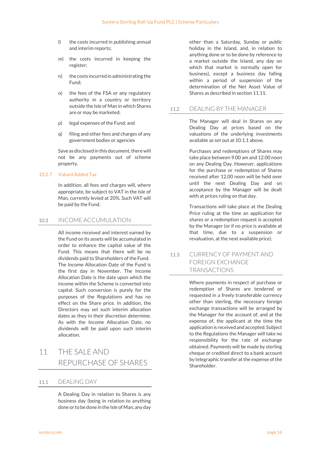- l) the costs incurred in publishing annual and interim reports;
- m) the costs incurred in keeping the register;
- n) the costs incurred in administrating the Fund;
- o) the fees of the FSA or any regulatory authority in a country or territory outside the Isle of Man in which Shares are or may be marketed;
- p) legal expenses of the Fund; and
- q) filing and other fees and charges of any government bodies or agencies

Save as disclosed in this document, there will not be any payments out of scheme property.

### 10.2.7 Valued Added Tax

In addition, all fees and charges will, where appropriate, be subject to VAT in the Isle of Man, currently levied at 20%. Such VAT will be paid by the Fund.

## 10.3 INCOME ACCUMULATION

All income received and interest earned by the Fund on its assets will be accumulated in order to enhance the capital value of the Fund. This means that there will be no dividends paid to Shareholders of the Fund. The Income Allocation Date of the Fund is the first day in November. The Income Allocation Date is the date upon which the income within the Scheme is converted into capital. Such conversion is purely for the purposes of the Regulations and has no effect on the Share price. In addition, the Directors may set such interim allocation dates as they in their discretion determine. As with the Income Allocation Date, no dividends will be paid upon such interim allocation.

## 11 THE SALE AND REPURCHASE OF SHARES

## 11.1 DEALING DAY

A Dealing Day in relation to Shares is any business day (being in relation to anything done or to be done in the Isle of Man, any day

other than a Saturday, Sunday or public holiday in the Island, and, in relation to anything done or to be done by reference to a market outside the Island, any day on which that market is normally open for business), except a business day falling within a period of suspension of the determination of the Net Asset Value of Shares as described in section 11.11.

## 11.2 DEALING BY THE MANAGER

The Manager will deal in Shares on any Dealing Day at prices based on the valuations of the underlying investments available as set out at 10.1.1 above.

Purchases and redemptions of Shares may take place between 9.00 am and 12.00 noon on any Dealing Day. However, applications for the purchase or redemption of Shares received after 12.00 noon will be held over until the next Dealing Day and on acceptance by the Manager will be dealt with at prices ruling on that day.

Transactions will take place at the Dealing Price ruling at the time an application for shares or a redemption request is accepted by the Manager (or if no price is available at that time, due to a suspension or revaluation, at the next available price).

## 11.3 CURRENCY OF PAYMENT AND FOREIGN EXCHANGE TRANSACTIONS

Where payments in respect of purchase or redemption of Shares are tendered or requested in a freely transferable currency other than sterling, the necessary foreign exchange transactions will be arranged by the Manager for the account of, and at the expense of, the applicant at the time the application is received and accepted. Subject to the Regulations the Manager will take no responsibility for the rate of exchange obtained. Payments will be made by sterling cheque or credited direct to a bank account by telegraphic transfer at the expense of the Shareholder.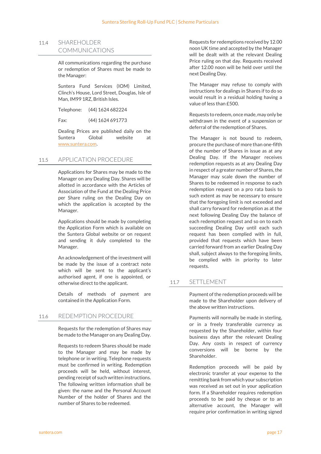## 11.4 SHAREHOLDER COMMUNICATIONS

All communications regarding the purchase or redemption of Shares must be made to the Manager:

Suntera Fund Services (IOM) Limited, Clinch's House, Lord Street, Douglas, Isle of Man, IM99 1RZ, British Isles.

Telephone: (44) 1624 682224

Fax: (44) 1624 691773

Dealing Prices are published daily on the Suntera Global website at www.suntera.com.

### 11.5 APPLICATION PROCEDURE

Applications for Shares may be made to the Manager on any Dealing Day. Shares will be allotted in accordance with the Articles of Association of the Fund at the Dealing Price per Share ruling on the Dealing Day on which the application is accepted by the Manager.

Applications should be made by completing the Application Form which is available on the Suntera Global website or on request and sending it duly completed to the Manager.

An acknowledgement of the investment will be made by the issue of a contract note which will be sent to the applicant's authorised agent, if one is appointed, or otherwise direct to the applicant.

Details of methods of payment are contained in the Application Form.

## 11.6 REDEMPTION PROCEDURE

Requests for the redemption of Shares may be made to the Manager on any Dealing Day.

Requests to redeem Shares should be made to the Manager and may be made by telephone or in writing. Telephone requests must be confirmed in writing. Redemption proceeds will be held, without interest, pending receipt of such written instructions. The following written information shall be given: the name and the Personal Account Number of the holder of Shares and the number of Shares to be redeemed.

Requests for redemptions received by 12.00 noon UK time and accepted by the Manager will be dealt with at the relevant Dealing Price ruling on that day. Requests received after 12.00 noon will be held over until the next Dealing Day.

The Manager may refuse to comply with instructions for dealings in Shares if to do so would result in a residual holding having a value of less than £500.

Requests to redeem, once made, may only be withdrawn in the event of a suspension or deferral of the redemption of Shares.

The Manager is not bound to redeem, procure the purchase of more than one-fifth of the number of Shares in issue as at any Dealing Day. If the Manager receives redemption requests as at any Dealing Day in respect of a greater number of Shares, the Manager may scale down the number of Shares to be redeemed in response to each redemption request on a pro rata basis to such extent as may be necessary to ensure that the foregoing limit is not exceeded and shall carry forward for redemption as at the next following Dealing Day the balance of each redemption request and so on to each succeeding Dealing Day until each such request has been complied with in full, provided that requests which have been carried forward from an earlier Dealing Day shall, subject always to the foregoing limits, be complied with in priority to later requests.

## 11.7 SETTLEMENT

Payment of the redemption proceeds will be made to the Shareholder upon delivery of the above written instructions.

Payments will normally be made in sterling, or in a freely transferable currency as requested by the Shareholder, within four business days after the relevant Dealing Day. Any costs in respect of currency conversions will be borne by the Shareholder.

Redemption proceeds will be paid by electronic transfer at your expense to the remitting bank from which your subscription was received as set out in your application form. If a Shareholder requires redemption proceeds to be paid by cheque or to an alternative account, the Manager will require prior confirmation in writing signed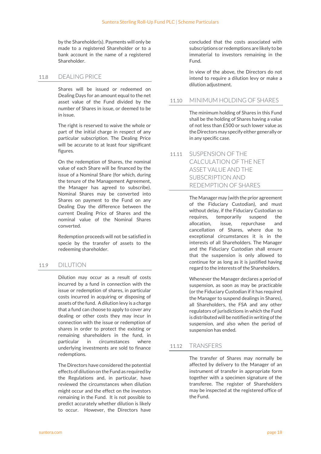by the Shareholder(s). Payments will only be made to a registered Shareholder or to a bank account in the name of a registered Shareholder.

## 11.8 DEALING PRICE

Shares will be issued or redeemed on Dealing Days for an amount equal to the net asset value of the Fund divided by the number of Shares in issue, or deemed to be in issue.

The right is reserved to waive the whole or part of the initial charge in respect of any particular subscription. The Dealing Price will be accurate to at least four significant figures.

On the redemption of Shares, the nominal value of each Share will be financed by the issue of a Nominal Share (for which, during the tenure of the Management Agreement, the Manager has agreed to subscribe). Nominal Shares may be converted into Shares on payment to the Fund on any Dealing Day the difference between the current Dealing Price of Shares and the nominal value of the Nominal Shares converted.

Redemption proceeds will not be satisfied in specie by the transfer of assets to the redeeming shareholder.

## 11.9 DILUTION

Dilution may occur as a result of costs incurred by a fund in connection with the issue or redemption of shares, in particular costs incurred in acquiring or disposing of assets of the fund. A dilution levy is a charge that a fund can choose to apply to cover any dealing or other costs they may incur in connection with the issue or redemption of shares in order to protect the existing or remaining shareholders in the fund, in particular in circumstances where underlying investments are sold to finance redemptions.

The Directors have considered the potential effects of dilution on the Fund as required by the Regulations and, in particular, have reviewed the circumstances when dilution might occur and the effect on the investors remaining in the Fund. It is not possible to predict accurately whether dilution is likely to occur. However, the Directors have

concluded that the costs associated with subscriptions or redemptions are likely to be immaterial to investors remaining in the Fund.

In view of the above, the Directors do not intend to require a dilution levy or make a dilution adjustment.

## 11.10 MINIMUM HOLDING OF SHARES

The minimum holding of Shares in this Fund shall be the holding of Shares having a value of not less than £500 or such lower value as the Directors may specify either generally or in any specific case.

## 11.11 SUSPENSION OF THE CALCULATION OF THE NET ASSET VALUE AND THE SUBSCRIPTION AND REDEMPTION OF SHARES

The Manager may (with the prior agreement of the Fiduciary Custodian), and must without delay, if the Fiduciary Custodian so requires, temporarily suspend the allocation, issue, repurchase and cancellation of Shares, where due to exceptional circumstances it is in the interests of all Shareholders. The Manager and the Fiduciary Custodian shall ensure that the suspension is only allowed to continue for as long as it is justified having regard to the interests of the Shareholders.

Whenever the Manager declares a period of suspension, as soon as may be practicable (or the Fiduciary Custodian if it has required the Manager to suspend dealings in Shares), all Shareholders, the FSA and any other regulators of jurisdictions in which the Fund is distributed will be notified in writing of the suspension, and also when the period of suspension has ended.

## 11.12 TRANSFERS

The transfer of Shares may normally be affected by delivery to the Manager of an instrument of transfer in appropriate form together with a specimen signature of the transferee. The register of Shareholders may be inspected at the registered office of the Fund.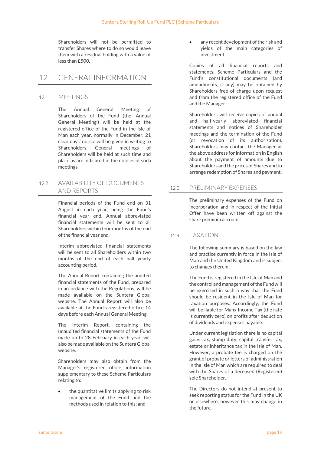Shareholders will not be permitted to transfer Shares where to do so would leave them with a residual holding with a value of less than £500.

## 12 GENERAL INFORMATION

## 12.1 MEETINGS

The Annual General Meeting of Shareholders of the Fund (the 'Annual General Meeting') will be held at the registered office of the Fund in the Isle of Man each year, normally in December. 21 clear days' notice will be given in writing to Shareholders. General meetings of Shareholders will be held at such time and place as are indicated in the notices of such meetings.

## 12.2 AVAILABILITY OF DOCUMENTS AND REPORTS

Financial periods of the Fund end on 31 August in each year, being the Fund's financial year end. Annual abbreviated financial statements will be sent to all Shareholders within four months of the end of the financial year end.

Interim abbreviated financial statements will be sent to all Shareholders within two months of the end of each half yearly accounting period.

The Annual Report containing the audited financial statements of the Fund, prepared in accordance with the Regulations, will be made available on the Suntera Global website. The Annual Report will also be available at the Fund's registered office 14 days before each Annual General Meeting.

The Interim Report, containing the unaudited financial statements of the Fund made up to 28 February in each year, will also be made available on the Suntera Global website.

Shareholders may also obtain from the Manager's registered office, information supplementary to these Scheme Particulars relating to:

 the quantitative limits applying to risk management of the Fund and the methods used in relation to this; and

 any recent development of the risk and yields of the main categories of investment.

Copies of all financial reports and statements, Scheme Particulars and the Fund's constitutional documents (and amendments, if any) may be obtained by Shareholders free of charge upon request and from the registered office of the Fund and the Manager.

Shareholders will receive copies of annual and half-yearly abbreviated financial statements and notices of Shareholder meetings and the termination of the Fund (or revocation of its authorisation). Shareholders may contact the Manager at the above address for information in English about the payment of amounts due to Shareholders and the prices of Shares and to arrange redemption of Shares and payment.

## 12.3 PRELIMINARY EXPENSES

The preliminary expenses of the Fund on incorporation and in respect of the Initial Offer have been written off against the share premium account.

## 12.4 TAXATION

The following summary is based on the law and practice currently in force in the Isle of Man and the United Kingdom and is subject to changes therein.

The Fund is registered in the Isle of Man and the control and management of the Fund will be exercised in such a way that the Fund should be resident in the Isle of Man for taxation purposes. Accordingly, the Fund will be liable for Manx Income Tax (the rate is currently zero) on profits after deduction of dividends and expenses payable.

Under current legislation there is no capital gains tax, stamp duty, capital transfer tax, estate or inheritance tax in the Isle of Man. However, a probate fee is charged on the grant of probate or letters of administration in the Isle of Man which are required to deal with the Shares of a deceased (Registered) sole Shareholder.

The Directors do not intend at present to seek reporting status for the Fund in the UK or elsewhere, however this may change in the future.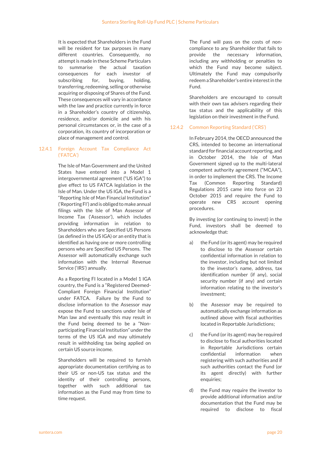It is expected that Shareholders in the Fund will be resident for tax purposes in many different countries. Consequently, no attempt is made in these Scheme Particulars to summarise the actual taxation consequences for each investor of subscribing for, buying, holding, transferring, redeeming, selling or otherwise acquiring or disposing of Shares of the Fund. These consequences will vary in accordance with the law and practice currently in force in a Shareholder's country of citizenship, residence, and/or domicile and with his personal circumstances or, in the case of a corporation, its country of incorporation or place of management and control.

#### 12.4.1 Foreign Account Tax Compliance Act ('FATCA')

The Isle of Man Government and the United States have entered into a Model 1 intergovernmental agreement ("US IGA") to give effect to US FATCA legislation in the Isle of Man. Under the US IGA, the Fund is a "Reporting Isle of Man Financial Institution" ('Reporting FI') and is obliged to make annual filings with the Isle of Man Assessor of Income Tax ('Assessor'), which includes providing information in relation to Shareholders who are Specified US Persons (as defined in the US IGA) or an entity that is identified as having one or more controlling persons who are Specified US Persons. The Assessor will automatically exchange such information with the Internal Revenue Service ('IRS') annually.

As a Reporting FI located in a Model 1 IGA country, the Fund is a "Registered Deemed-Compliant Foreign Financial Institution" under FATCA. Failure by the Fund to disclose information to the Assessor may expose the Fund to sanctions under Isle of Man law and eventually this may result in the Fund being deemed to be a "Nonparticipating Financial Institution" under the terms of the US IGA and may ultimately result in withholding tax being applied on certain US source income.

Shareholders will be required to furnish appropriate documentation certifying as to their US or non-US tax status and the identity of their controlling persons, together with such additional tax information as the Fund may from time to time request.

The Fund will pass on the costs of noncompliance to any Shareholder that fails to provide the necessary information, including any withholding or penalties to which the Fund may become subject. Ultimately the Fund may compulsorily redeem a Shareholder's entire interest in the Fund.

Shareholders are encouraged to consult with their own tax advisers regarding their tax status and the applicability of this legislation on their investment in the Fund.

### 12.4.2 Common Reporting Standard ('CRS')

In February 2014, the OECD announced the CRS, intended to become an international standard for financial account reporting, and in October 2014, the Isle of Man Government signed up to the multi-lateral competent authority agreement ("MCAA"), in order to implement the CRS. The Income Tax (Common Reporting Standard) Regulations 2015 came into force on 23 October 2015 and require the Fund to operate new CRS account opening procedures.

By investing (or continuing to invest) in the Fund, investors shall be deemed to acknowledge that:

- a) the Fund (or its agent) may be required to disclose to the Assessor certain confidential information in relation to the investor, including but not limited to the investor's name, address, tax identification number (if any), social security number (if any) and certain information relating to the investor's investment;
- b) the Assessor may be required to automatically exchange information as outlined above with fiscal authorities located in Reportable Jurisdictions;
- c) the Fund (or its agent) may be required to disclose to fiscal authorities located in Reportable Jurisdictions certain confidential information when registering with such authorities and if such authorities contact the Fund (or its agent directly) with further enquiries;
- d) the Fund may require the investor to provide additional information and/or documentation that the Fund may be required to disclose to fiscal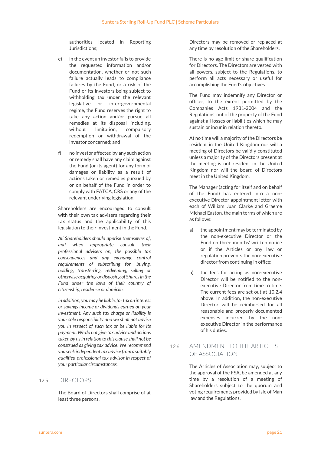authorities located in Reporting Jurisdictions;

- e) in the event an investor fails to provide the requested information and/or documentation, whether or not such failure actually leads to compliance failures by the Fund, or a risk of the Fund or its investors being subject to withholding tax under the relevant legislative or inter-governmental regime, the Fund reserves the right to take any action and/or pursue all remedies at its disposal including, without limitation, compulsory redemption or withdrawal of the investor concerned; and
- f) no investor affected by any such action or remedy shall have any claim against the Fund (or its agent) for any form of damages or liability as a result of actions taken or remedies pursued by or on behalf of the Fund in order to comply with FATCA, CRS or any of the relevant underlying legislation.

Shareholders are encouraged to consult with their own tax advisers regarding their tax status and the applicability of this legislation to their investment in the Fund.

All Shareholders should apprise themselves of, and when appropriate consult their professional advisers on, the possible tax consequences and any exchange control requirements of subscribing for, buying, holding, transferring, redeeming, selling or otherwise acquiring or disposing of Shares in the Fund under the laws of their country of citizenship, residence or domicile.

In addition, you may be liable, for tax on interest or savings income or dividends earned on your investment. Any such tax charge or liability is your sole responsibility and we shall not advise you in respect of such tax or be liable for its payment. We do not give tax advice and actions taken by us in relation to this clause shall not be construed as giving tax advice. We recommend you seek independent tax advice from a suitably qualified professional tax advisor in respect of your particular circumstances.

## 12.5 DIRECTORS

The Board of Directors shall comprise of at least three persons.

Directors may be removed or replaced at any time by resolution of the Shareholders.

There is no age limit or share qualification for Directors. The Directors are vested with all powers, subject to the Regulations, to perform all acts necessary or useful for accomplishing the Fund's objectives.

The Fund may indemnify any Director or officer, to the extent permitted by the Companies Acts 1931-2004 and the Regulations, out of the property of the Fund against all losses or liabilities which he may sustain or incur in relation thereto.

At no time will a majority of the Directors be resident in the United Kingdom nor will a meeting of Directors be validly constituted unless a majority of the Directors present at the meeting is not resident in the United Kingdom nor will the board of Directors meet in the United Kingdom.

The Manager (acting for itself and on behalf of the Fund) has entered into a nonexecutive Director appointment letter with each of William Juan Clarke and Graeme Michael Easton, the main terms of which are as follows:

- a) the appointment may be terminated by the non-executive Director or the Fund on three months' written notice or if the Articles or any law or regulation prevents the non-executive director from continuing in office;
- b) the fees for acting as non-executive Director will be notified to the nonexecutive Director from time to time. The current fees are set out at 10.2.4 above. In addition, the non-executive Director will be reimbursed for all reasonable and properly documented expenses incurred by the nonexecutive Director in the performance of his duties.

## 12.6 AMENDMENT TO THE ARTICLES OF ASSOCIATION

The Articles of Association may, subject to the approval of the FSA, be amended at any time by a resolution of a meeting of Shareholders subject to the quorum and voting requirements provided by Isle of Man law and the Regulations.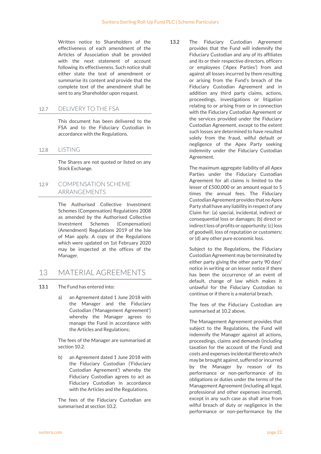Written notice to Shareholders of the effectiveness of each amendment of the Articles of Association shall be provided with the next statement of account following its effectiveness. Such notice shall either state the text of amendment or summarise its content and provide that the complete text of the amendment shall be sent to any Shareholder upon request.

## 12.7 DELIVERY TO THE FSA

This document has been delivered to the FSA and to the Fiduciary Custodian in accordance with the Regulations.

### 12.8 LISTING

The Shares are not quoted or listed on any Stock Exchange.

12.9 COMPENSATION SCHEME ARRANGEMENTS

> The Authorised Collective Investment Schemes (Compensation) Regulations 2008 as amended by the Authorised Collective Investment Schemes (Compensation) (Amendment) Regulations 2019 of the Isle of Man apply. A copy of the Regulations which were updated on 1st February 2020 may be inspected at the offices of the Manager.

## 13 MATERIAL AGREEMENTS

- 13.1 The Fund has entered into:
	- a) an Agreement dated 1 June 2018 with the Manager and the Fiduciary Custodian ('Management Agreement') whereby the Manager agrees to manage the Fund in accordance with the Articles and Regulations;

The fees of the Manager are summarised at section 10.2.

b) an Agreement dated 1 June 2018 with the Fiduciary Custodian ('Fiduciary Custodian Agreement') whereby the Fiduciary Custodian agrees to act as Fiduciary Custodian in accordance with the Articles and the Regulations.

The fees of the Fiduciary Custodian are summarised at section 10.2.

13.2 The Fiduciary Custodian Agreement provides that the Fund will indemnify the Fiduciary Custodian and any of its affiliates and its or their respective directors, officers or employees ('Apex Parties') from and against all losses incurred by them resulting or arising from the Fund's breach of the Fiduciary Custodian Agreement and in addition any third party claims, actions, proceedings, investigations or litigation relating to or arising from or in connection with the Fiduciary Custodian Agreement or the services provided under the Fiduciary Custodian Agreement, except to the extent such losses are determined to have resulted solely from the fraud, wilful default or negligence of the Apex Party seeking indemnity under the Fiduciary Custodian Agreement.

> The maximum aggregate liability of all Apex Parties under the Fiduciary Custodian Agreement for all claims is limited to the lesser of £500,000 or an amount equal to 5 times the annual fees. The Fiduciary Custodian Agreement provides that no Apex Party shall have any liability in respect of any Claim for: (a) special, incidental, indirect or consequential loss or damages; (b) direct or indirect loss of profits or opportunity; (c) loss of goodwill, loss of reputation or customers; or (d) any other pure economic loss.

> Subject to the Regulations, the Fiduciary Custodian Agreement may be terminated by either party giving the other party 90 days' notice in writing or on lesser notice if there has been the occurrence of an event of default, change of law which makes it unlawful for the Fiduciary Custodian to continue or if there is a material breach.

> The fees of the Fiduciary Custodian are summarised at 10.2 above.

> The Management Agreement provides that subject to the Regulations, the Fund will indemnify the Manager against all actions, proceedings, claims and demands (including taxation for the account of the Fund) and costs and expenses incidental thereto which may be brought against, suffered or incurred by the Manager by reason of its performance or non-performance of its obligations or duties under the terms of the Management Agreement (including all legal, professional and other expenses incurred), except in any such case as shall arise from wilful breach of duty or negligence in the performance or non-performance by the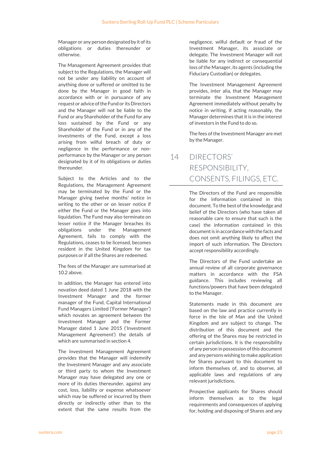Manager or any person designated by it of its obligations or duties thereunder or otherwise.

The Management Agreement provides that subject to the Regulations, the Manager will not be under any liability on account of anything done or suffered or omitted to be done by the Manager in good faith in accordance with or in pursuance of any request or advice of the Fund or its Directors and the Manager will not be liable to the Fund or any Shareholder of the Fund for any loss sustained by the Fund or any Shareholder of the Fund or in any of the investments of the Fund, except a loss arising from wilful breach of duty or negligence in the performance or nonperformance by the Manager or any person designated by it of its obligations or duties thereunder.

Subject to the Articles and to the Regulations, the Management Agreement may be terminated by the Fund or the Manager giving twelve months' notice in writing to the other or on lesser notice if either the Fund or the Manager goes into liquidation. The Fund may also terminate on lesser notice if the Manager breaches its obligations under the Management Agreement, fails to comply with the Regulations, ceases to be licensed, becomes resident in the United Kingdom for tax purposes or if all the Shares are redeemed.

The fees of the Manager are summarised at 10.2 above.

In addition, the Manager has entered into novation deed dated 1 June 2018 with the Investment Manager and the former manager of the Fund, Capital International Fund Managers Limited ('Former Manager') which novates an agreement between the Investment Manager and the Former Manager dated 1 June 2015 ('Investment Management Agreement') the details of which are summarised in section 4.

The Investment Management Agreement provides that the Manager will indemnify the Investment Manager and any associate or third party to whom the Investment Manager may have delegated any one or more of its duties thereunder, against any cost, loss, liability or expense whatsoever which may be suffered or incurred by them directly or indirectly other than to the extent that the same results from the

negligence, wilful default or fraud of the Investment Manager, its associate or delegate. The Investment Manager will not be liable for any indirect or consequential loss of the Manager, its agents (including the Fiduciary Custodian) or delegates.

The Investment Management Agreement provides, inter alia, that the Manager may terminate the Investment Management Agreement immediately without penalty by notice in writing, if acting reasonably, the Manager determines that it is in the interest of investors in the Fund to do so.

The fees of the Investment Manager are met by the Manager.

## 14 DIRECTORS' RESPONSIBILITY, CONSENTS, FILINGS, ETC.

The Directors of the Fund are responsible for the information contained in this document. To the best of the knowledge and belief of the Directors (who have taken all reasonable care to ensure that such is the case) the information contained in this document is in accordance with the facts and does not omit anything likely to affect the import of such information. The Directors accept responsibility accordingly.

The Directors of the Fund undertake an annual review of all corporate governance matters in accordance with the FSA guidance. This includes reviewing all functions/powers that have been delegated to the Manager.

Statements made in this document are based on the law and practice currently in force in the Isle of Man and the United Kingdom and are subject to change. The distribution of this document and the offering of the Shares may be restricted in certain jurisdictions. It is the responsibility of any person in possession of this document and any persons wishing to make application for Shares pursuant to this document to inform themselves of, and to observe, all applicable laws and regulations of any relevant jurisdictions.

Prospective applicants for Shares should inform themselves as to the legal requirements and consequences of applying for, holding and disposing of Shares and any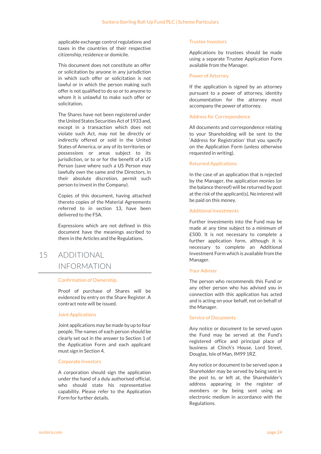applicable exchange control regulations and taxes in the countries of their respective citizenship, residence or domicile.

This document does not constitute an offer or solicitation by anyone in any jurisdiction in which such offer or solicitation is not lawful or in which the person making such offer is not qualified to do so or to anyone to whom it is unlawful to make such offer or solicitation.

The Shares have not been registered under the United States Securities Act of 1933 and, except in a transaction which does not violate such Act, may not be directly or indirectly offered or sold in the United States of America, or any of its territories or possessions or areas subject to its jurisdiction, or to or for the benefit of a US Person (save where such a US Person may lawfully own the same and the Directors, in their absolute discretion, permit such person to invest in the Company).

Copies of this document, having attached thereto copies of the Material Agreements referred to in section 13, have been delivered to the FSA.

Expressions which are not defined in this document have the meanings ascribed to them in the Articles and the Regulations.

## 15 ADDITIONAL INFORMATION

#### Confirmation of Ownership.

Proof of purchase of Shares will be evidenced by entry on the Share Register. A contract note will be issued.

#### Joint Applications

Joint applications may be made by up to four people. The names of each person should be clearly set out in the answer to Section 1 of the Application Form and each applicant must sign in Section 4.

#### Corporate Investors

A corporation should sign the application under the hand of a duly authorised official, who should state his representative capability. Please refer to the Application Form for further details.

#### Trustee Investors

Applications by trustees should be made using a separate Trustee Application Form available from the Manager.

#### Power of Attorney

If the application is signed by an attorney pursuant to a power of attorney, identity documentation for the attorney must accompany the power of attorney.

#### Address for Correspondence

All documents and correspondence relating to your Shareholding will be sent to the 'Address for Registration' that you specify on the Application Form (unless otherwise requested in writing).

#### Returned Applications

In the case of an application that is rejected by the Manager, the application monies (or the balance thereof) will be returned by post at the risk of the applicant(s). No interest will be paid on this money.

### Additional Investments

Further investments into the Fund may be made at any time subject to a minimum of £500. It is not necessary to complete a further application form, although it is necessary to complete an Additional Investment Form which is available from the Manager.

#### Your Adviser

The person who recommends this Fund or any other person who has advised you in connection with this application has acted and is acting on your behalf, not on behalf of the Manager.

#### Service of Documents

Any notice or document to be served upon the Fund may be served at the Fund's registered office and principal place of business at Clinch's House, Lord Street, Douglas, Isle of Man, IM99 1RZ.

Any notice or document to be served upon a Shareholder may be served by being sent in the post to, or left at, the Shareholder's address appearing in the register of members or by being sent using an electronic medium in accordance with the Regulations.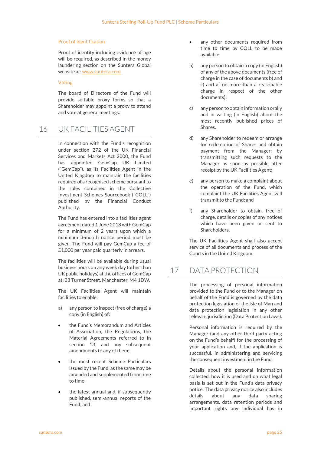#### Proof of Identification

Proof of identity including evidence of age will be required, as described in the money laundering section on the Suntera Global website at: www.suntera.com.

#### Voting

The board of Directors of the Fund will provide suitable proxy forms so that a Shareholder may appoint a proxy to attend and vote at general meetings.

## 16 UK FACILITIES AGENT

In connection with the Fund's recognition under section 272 of the UK Financial Services and Markets Act 2000, the Fund has appointed GemCap UK Limited ("GemCap"), as its Facilities Agent in the United Kingdom to maintain the facilities required of a recognised scheme pursuant to the rules contained in the Collective Investment Schemes Sourcebook ("COLL") published by the Financial Conduct Authority.

The Fund has entered into a facilities agent agreement dated 1 June 2018 with GemCap for a minimum of 2 years upon which a minimum 3-month notice period must be given. The Fund will pay GemCap a fee of £1,000 per year paid quarterly in arrears.

The facilities will be available during usual business hours on any week day (other than UK public holidays) at the offices of GemCap at: 33 Turner Street, Manchester, M4 1DW.

The UK Facilities Agent will maintain facilities to enable:

- a) any person to inspect (free of charge) a copy (in English) of:
- the Fund's Memorandum and Articles of Association, the Regulations, the Material Agreements referred to in section 13, and any subsequent amendments to any of them;
- the most recent Scheme Particulars issued by the Fund, as the same may be amended and supplemented from time to time;
- the latest annual and, if subsequently published, semi-annual reports of the Fund; and
- any other documents required from time to time by COLL to be made available.
- b) any person to obtain a copy (in English) of any of the above documents (free of charge in the case of documents b) and c) and at no more than a reasonable charge in respect of the other documents);
- c) any person to obtain information orally and in writing (in English) about the most recently published prices of Shares.
- d) any Shareholder to redeem or arrange for redemption of Shares and obtain payment from the Manager; by transmitting such requests to the Manager as soon as possible after receipt by the UK Facilities Agent;
- e) any person to make a complaint about the operation of the Fund, which complaint the UK Facilities Agent will transmit to the Fund; and
- f) any Shareholder to obtain, free of charge, details or copies of any notices which have been given or sent to Shareholders.

The UK Facilities Agent shall also accept service of all documents and process of the Courts in the United Kingdom.

## 17 DATA PROTECTION

The processing of personal information provided to the Fund or to the Manager on behalf of the Fund is governed by the data protection legislation of the Isle of Man and data protection legislation in any other relevant jurisdiction (Data Protection Laws).

Personal information is required by the Manager (and any other third party acting on the Fund's behalf) for the processing of your application and, if the application is successful, in administering and servicing the consequent investment in the Fund.

Details about the personal information collected, how it is used and on what legal basis is set out in the Fund's data privacy notice. The data privacy notice also includes details about any data sharing arrangements, data retention periods and important rights any individual has in